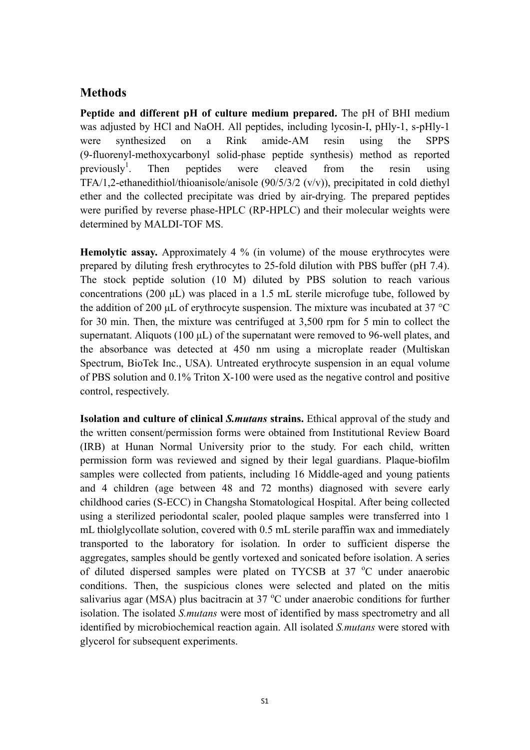## **Methods**

**Peptide and different pH of culture medium prepared.** The pH of BHI medium was adjusted by HCl and NaOH. All peptides, including lycosin-I, pHly-1, s-pHly-1 were synthesized on a Rink amide-AM resin using the SPPS (9-fluorenyl-methoxycarbonyl solid-phase peptide synthesis) method as reported previously<sup>1</sup>. Then peptides were cleaved from the resin using TFA/1,2-ethanedithiol/thioanisole/anisole (90/5/3/2 (v/v)), precipitated in cold diethyl ether and the collected precipitate was dried by air-drying. The prepared peptides were purified by reverse phase-HPLC (RP-HPLC) and their molecular weights were determined by MALDI-TOF MS.

**Hemolytic assay.** Approximately 4 % (in volume) of the mouse erythrocytes were prepared by diluting fresh erythrocytes to 25-fold dilution with PBS buffer (pH 7.4). The stock peptide solution (10 M) diluted by PBS solution to reach various concentrations (200 μL) was placed in a 1.5 mL sterile microfuge tube, followed by the addition of 200 μL of erythrocyte suspension. The mixture was incubated at 37 °C for 30 min. Then, the mixture was centrifuged at 3,500 rpm for 5 min to collect the supernatant. Aliquots (100 μL) of the supernatant were removed to 96-well plates, and the absorbance was detected at 450 nm using a microplate reader (Multiskan Spectrum, BioTek Inc., USA). Untreated erythrocyte suspension in an equal volume of PBS solution and 0.1% Triton X-100 were used as the negative control and positive control, respectively.

**Isolation and culture of clinical** *S.mutans* **strains.** Ethical approval of the study and the written consent/permission forms were obtained from Institutional Review Board (IRB) at Hunan Normal University prior to the study. For each child, written permission form was reviewed and signed by their legal guardians. Plaque-biofilm samples were collected from patients, including 16 Middle-aged and young patients and 4 children (age between 48 and 72 months) diagnosed with severe early childhood caries (S-ECC) in Changsha Stomatological Hospital. After being collected using a sterilized periodontal scaler, pooled plaque samples were transferred into 1 mL thiolglycollate solution, covered with 0.5 mL sterile paraffin wax and immediately transported to the laboratory for isolation. In order to sufficient disperse the aggregates, samples should be gently vortexed and sonicated before isolation. A series of diluted dispersed samples were plated on TYCSB at 37 °C under anaerobic conditions. Then, the suspicious clones were selected and plated on the mitis salivarius agar (MSA) plus bacitracin at 37  $^{\circ}$ C under anaerobic conditions for further isolation. The isolated *S.mutans* were most of identified by mass spectrometry and all identified by microbiochemical reaction again. All isolated *S.mutans* were stored with glycerol for subsequent experiments.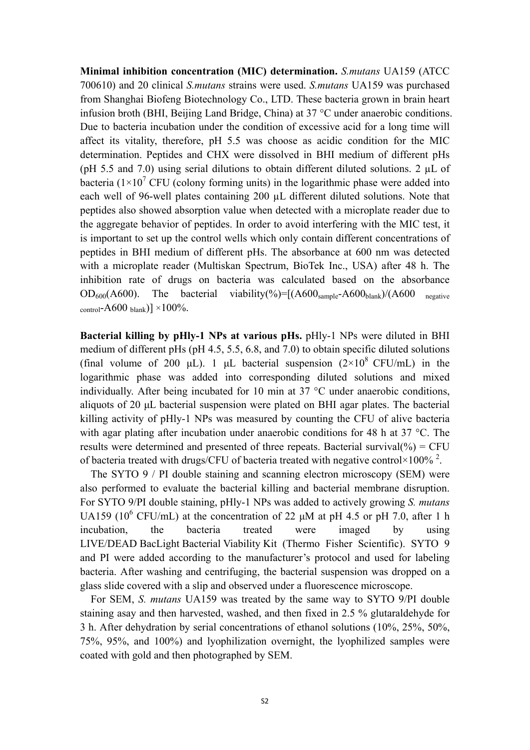**Minimal inhibition concentration (MIC) determination.** *S.mutans* UA159 (ATCC 700610) and 20 clinical *S.mutans* strains were used. *S.mutans* UA159 was purchased from Shanghai Biofeng Biotechnology Co., LTD. These bacteria grown in brain heart infusion broth (BHI, Beijing Land Bridge, China) at 37 °C under anaerobic conditions. Due to bacteria incubation under the condition of excessive acid for a long time will affect its vitality, therefore, pH 5.5 was choose as acidic condition for the MIC determination. Peptides and CHX were dissolved in BHI medium of different pHs (pH 5.5 and 7.0) using serial dilutions to obtain different diluted solutions. 2  $\mu$ L of bacteria ( $1\times10^7$  CFU (colony forming units) in the logarithmic phase were added into each well of 96-well plates containing 200 µL different diluted solutions. Note that peptides also showed absorption value when detected with a microplate reader due to the aggregate behavior of peptides. In order to avoid interfering with the MIC test, it is important to set up the control wells which only contain different concentrations of peptides in BHI medium of different pHs. The absorbance at 600 nm was detected with a microplate reader (Multiskan Spectrum, BioTek Inc., USA) after 48 h. The inhibition rate of drugs on bacteria was calculated based on the absorbance  $OD_{600}(A600)$ . The bacterial viability(%)= $[(A600_{\text{sample}}-A600_{\text{blank}})/(A600_{\text{new}})]$ control-A600 blank)]  $\times$ 100%.

**Bacterial killing by pHly-1 NPs at various pHs.** pHly-1 NPs were diluted in BHI medium of different pHs (pH 4.5, 5.5, 6.8, and 7.0) to obtain specific diluted solutions (final volume of 200 μL). 1 μL bacterial suspension  $(2\times10^8 \text{ CFU/mL})$  in the logarithmic phase was added into corresponding diluted solutions and mixed individually. After being incubated for 10 min at 37 °C under anaerobic conditions, aliquots of 20 μL bacterial suspension were plated on BHI agar plates. The bacterial killing activity of pHly-1 NPs was measured by counting the CFU of alive bacteria with agar plating after incubation under anaerobic conditions for 48 h at 37 °C. The results were determined and presented of three repeats. Bacterial survival( $\%$ ) = CFU of bacteria treated with drugs/CFU of bacteria treated with negative control×100%<sup>2</sup>.

The SYTO 9 / PI double staining and scanning electron microscopy (SEM) were also performed to evaluate the bacterial killing and bacterial membrane disruption. For SYTO 9/PI double staining, pHly-1 NPs was added to actively growing *S. mutans* UA159 (10<sup>6</sup> CFU/mL) at the concentration of 22  $\mu$ M at pH 4.5 or pH 7.0, after 1 h incubation, the bacteria treated were imaged by using LIVE/DEAD BacLight Bacterial Viability Kit (Thermo Fisher Scientific). SYTO 9 and PI were added according to the manufacturer's protocol and used for labeling bacteria. After washing and centrifuging, the bacterial suspension was dropped on a glass slide covered with a slip and observed under a fluorescence microscope.

For SEM, *S. mutans* UA159 was treated by the same way to SYTO 9/PI double staining asay and then harvested, washed, and then fixed in 2.5 % glutaraldehyde for 3 h. After dehydration by serial concentrations of ethanol solutions (10%, 25%, 50%, 75%, 95%, and 100%) and lyophilization overnight, the lyophilized samples were coated with gold and then photographed by SEM.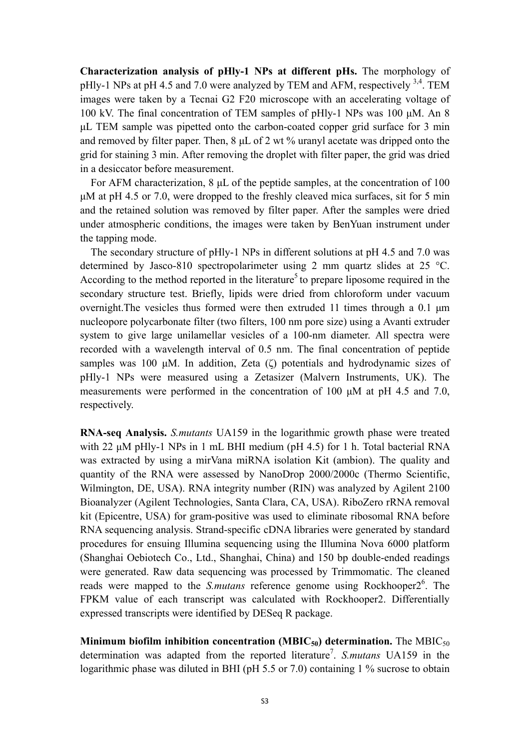**Characterization analysis of pHly-1 NPs at different pHs.** The morphology of pHly-1 NPs at pH 4.5 and 7.0 were analyzed by TEM and AFM, respectively  $^{3,4}$ . TEM images were taken by a Tecnai G2 F20 microscope with an accelerating voltage of 100 kV. The final concentration of TEM samples of pHly-1 NPs was 100 μM. An 8 μL TEM sample was pipetted onto the carbon-coated copper grid surface for 3 min and removed by filter paper. Then, 8 μL of 2 wt % uranyl acetate was dripped onto the grid for staining 3 min. After removing the droplet with filter paper, the grid was dried in a desiccator before measurement.

For AFM characterization, 8 μL of the peptide samples, at the concentration of 100 μM at pH 4.5 or 7.0, were dropped to the freshly cleaved mica surfaces, sit for 5 min and the retained solution was removed by filter paper. After the samples were dried under atmospheric conditions, the images were taken by BenYuan instrument under the tapping mode.

The secondary structure of pHly-1 NPs in different solutions at pH 4.5 and 7.0 was determined by Jasco-810 spectropolarimeter using 2 mm quartz slides at 25 °C. According to the method reported in the literature<sup>5</sup> to prepare liposome required in the secondary structure test. Briefly, lipids were dried from chloroform under vacuum overnight.The vesicles thus formed were then extruded 11 times through a 0.1 μm nucleopore polycarbonate filter (two filters, 100 nm pore size) using a Avanti extruder system to give large unilamellar vesicles of a 100-nm diameter. All spectra were recorded with a wavelength interval of 0.5 nm. The final concentration of peptide samples was 100 μM. In addition, Zeta (ζ) potentials and hydrodynamic sizes of pHly-1 NPs were measured using a Zetasizer (Malvern Instruments, UK). The measurements were performed in the concentration of 100 μM at pH 4.5 and 7.0, respectively.

**RNA-seq Analysis.** *S.mutants* UA159 in the logarithmic growth phase were treated with 22 μM pHly-1 NPs in 1 mL BHI medium (pH 4.5) for 1 h. Total bacterial RNA was extracted by using a mirVana miRNA isolation Kit (ambion). The quality and quantity of the RNA were assessed by NanoDrop 2000/2000c (Thermo Scientific, Wilmington, DE, USA). RNA integrity number (RIN) was analyzed by Agilent 2100 Bioanalyzer (Agilent Technologies, Santa Clara, CA, USA). RiboZero rRNA removal kit (Epicentre, USA) for gram-positive was used to eliminate ribosomal RNA before RNA sequencing analysis. Strand-specific cDNA libraries were generated by standard procedures for ensuing Illumina sequencing using the Illumina Nova 6000 platform (Shanghai Oebiotech Co., Ltd., Shanghai, China) and 150 bp double-ended readings were generated. Raw data sequencing was processed by Trimmomatic. The cleaned reads were mapped to the *S.mutans* reference genome using Rockhooper2<sup>6</sup>. The FPKM value of each transcript was calculated with Rockhooper2. Differentially expressed transcripts were identified by DESeq R package.

**Minimum biofilm inhibition concentration (MBIC<sub>50</sub>) determination.** The MBIC<sub>50</sub> determination was adapted from the reported literature<sup>7</sup>. S.mutans UA159 in the logarithmic phase was diluted in BHI (pH 5.5 or 7.0) containing 1 % sucrose to obtain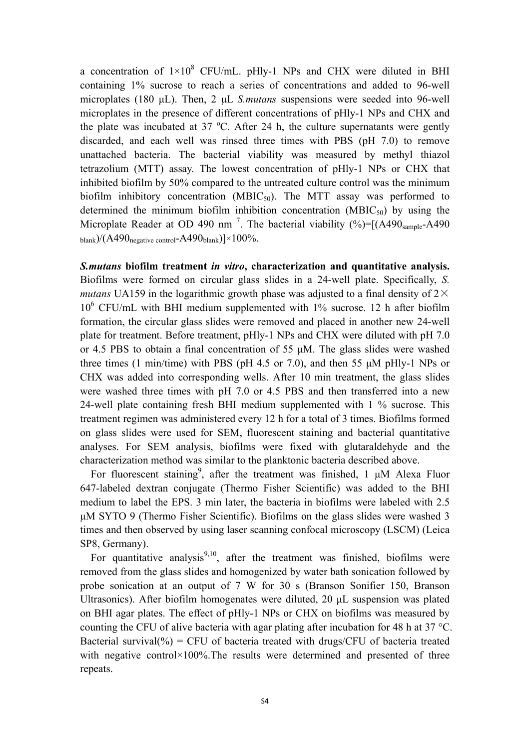a concentration of  $1\times10^8$  CFU/mL. pHly-1 NPs and CHX were diluted in BHI containing 1% sucrose to reach a series of concentrations and added to 96-well microplates (180 μL). Then, 2 μL *S.mutans* suspensions were seeded into 96-well microplates in the presence of different concentrations of pHly-1 NPs and CHX and the plate was incubated at  $37 \text{ °C}$ . After 24 h, the culture supernatants were gently discarded, and each well was rinsed three times with PBS (pH 7.0) to remove unattached bacteria. The bacterial viability was measured by methyl thiazol tetrazolium (MTT) assay. The lowest concentration of pHly-1 NPs or CHX that inhibited biofilm by 50% compared to the untreated culture control was the minimum biofilm inhibitory concentration (MBIC<sub>50</sub>). The MTT assay was performed to determined the minimum biofilm inhibition concentration ( $MBIC_{50}$ ) by using the Microplate Reader at OD 490 nm<sup>7</sup>. The bacterial viability  $(\%)=[(A490_{\text{sample}}-A490$ blank)/ $(A490_{\text{negative control}} - A490_{\text{blank}})\times 100\%$ .

*S.mutans* **biofilm treatment** *in vitro***, characterization and quantitative analysis.**  Biofilms were formed on circular glass slides in a 24-well plate. Specifically, *S. mutans* UA159 in the logarithmic growth phase was adjusted to a final density of  $2\times$  $10^6$  CFU/mL with BHI medium supplemented with 1% sucrose. 12 h after biofilm formation, the circular glass slides were removed and placed in another new 24-well plate for treatment. Before treatment, pHly-1 NPs and CHX were diluted with pH 7.0 or 4.5 PBS to obtain a final concentration of 55 μM. The glass slides were washed three times (1 min/time) with PBS (pH 4.5 or 7.0), and then 55 μM pHly-1 NPs or CHX was added into corresponding wells. After 10 min treatment, the glass slides were washed three times with pH 7.0 or 4.5 PBS and then transferred into a new 24-well plate containing fresh BHI medium supplemented with 1 % sucrose. This treatment regimen was administered every 12 h for a total of 3 times. Biofilms formed on glass slides were used for SEM, fluorescent staining and bacterial quantitative analyses. For SEM analysis, biofilms were fixed with glutaraldehyde and the characterization method was similar to the planktonic bacteria described above.

For fluorescent staining<sup>9</sup>, after the treatment was finished, 1  $\mu$ M Alexa Fluor 647-labeled dextran conjugate (Thermo Fisher Scientific) was added to the BHI medium to label the EPS. 3 min later, the bacteria in biofilms were labeled with 2.5 μM SYTO 9 (Thermo Fisher Scientific). Biofilms on the glass slides were washed 3 times and then observed by using laser scanning confocal microscopy (LSCM) (Leica SP8, Germany).

For quantitative analysis<sup>9,10</sup>, after the treatment was finished, biofilms were removed from the glass slides and homogenized by water bath sonication followed by probe sonication at an output of 7 W for 30 s (Branson Sonifier 150, Branson Ultrasonics). After biofilm homogenates were diluted, 20 μL suspension was plated on BHI agar plates. The effect of pHly-1 NPs or CHX on biofilms was measured by counting the CFU of alive bacteria with agar plating after incubation for 48 h at 37 °C. Bacterial survival( $\%$ ) = CFU of bacteria treated with drugs/CFU of bacteria treated with negative control×100%. The results were determined and presented of three repeats.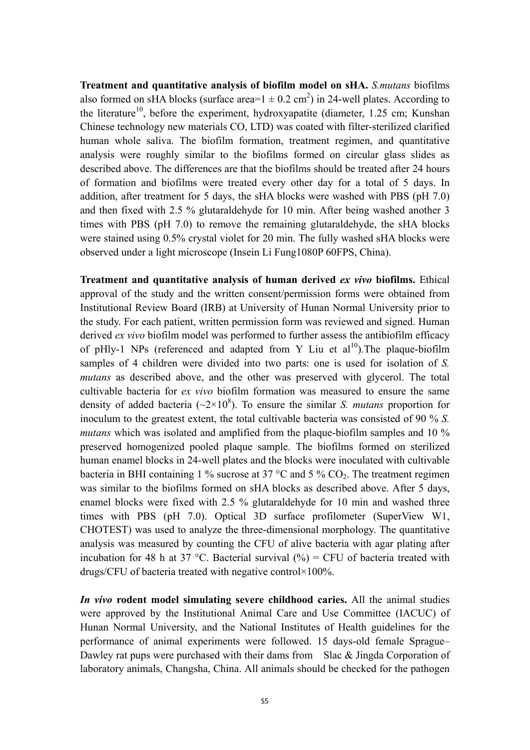**Treatment and quantitative analysis of biofilm model on sHA.** *S.mutans* biofilms also formed on sHA blocks (surface area= $1 \pm 0.2$  cm<sup>2</sup>) in 24-well plates. According to the literature<sup>10</sup>, before the experiment, hydroxyapatite (diameter, 1.25 cm; Kunshan Chinese technology new materials CO, LTD) was coated with filter-sterilized clarified human whole saliva. The biofilm formation, treatment regimen, and quantitative analysis were roughly similar to the biofilms formed on circular glass slides as described above. The differences are that the biofilms should be treated after 24 hours of formation and biofilms were treated every other day for a total of 5 days. In addition, after treatment for 5 days, the sHA blocks were washed with PBS (pH 7.0) and then fixed with 2.5 % glutaraldehyde for 10 min. After being washed another 3 times with PBS (pH 7.0) to remove the remaining glutaraldehyde, the sHA blocks were stained using 0.5% crystal violet for 20 min. The fully washed sHA blocks were observed under a light microscope (Insein Li Fung1080P 60FPS, China).

**Treatment and quantitative analysis of human derived** *ex vivo* **biofilms.** Ethical approval of the study and the written consent/permission forms were obtained from Institutional Review Board (IRB) at University of Hunan Normal University prior to the study. For each patient, written permission form was reviewed and signed. Human derived *ex vivo* biofilm model was performed to further assess the antibiofilm efficacy of pHly-1 NPs (referenced and adapted from Y Liu et  $al^{10}$ ). The plaque-biofilm samples of 4 children were divided into two parts: one is used for isolation of *S. mutans* as described above, and the other was preserved with glycerol. The total cultivable bacteria for *ex vivo* biofilm formation was measured to ensure the same density of added bacteria  $(\sim 2 \times 10^8)$ . To ensure the similar *S. mutans* proportion for inoculum to the greatest extent, the total cultivable bacteria was consisted of 90 % *S. mutans* which was isolated and amplified from the plaque-biofilm samples and 10 % preserved homogenized pooled plaque sample. The biofilms formed on sterilized human enamel blocks in 24-well plates and the blocks were inoculated with cultivable bacteria in BHI containing 1 % sucrose at 37  $\degree$ C and 5 % CO<sub>2</sub>. The treatment regimen was similar to the biofilms formed on sHA blocks as described above. After 5 days, enamel blocks were fixed with 2.5 % glutaraldehyde for 10 min and washed three times with PBS (pH 7.0). Optical 3D surface profilometer (SuperView W1, CHOTEST) was used to analyze the three-dimensional morphology. The quantitative analysis was measured by counting the CFU of alive bacteria with agar plating after incubation for 48 h at 37 °C. Bacterial survival  $(\%)$  = CFU of bacteria treated with drugs/CFU of bacteria treated with negative control×100%.

*In vivo* **rodent model simulating severe childhood caries.** All the animal studies were approved by the Institutional Animal Care and Use Committee (IACUC) of Hunan Normal University, and the National Institutes of Health guidelines for the performance of animal experiments were followed. 15 days-old female Sprague– Dawley rat pups were purchased with their dams from Slac & Jingda Corporation of laboratory animals, Changsha, China. All animals should be checked for the pathogen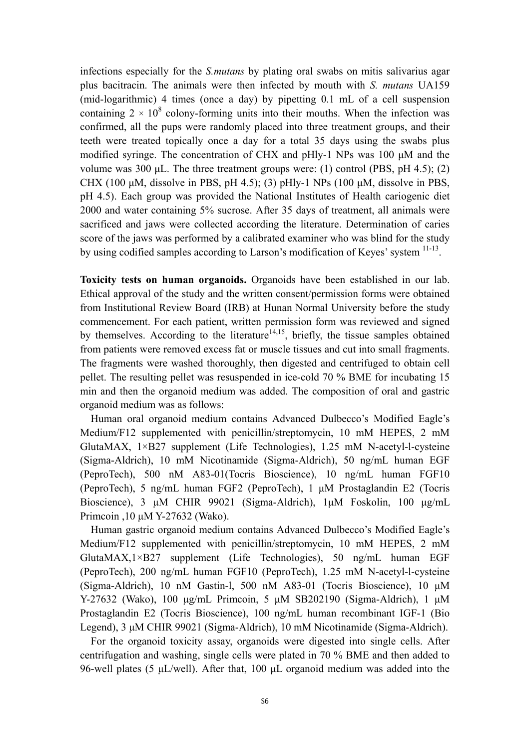infections especially for the *S.mutans* by plating oral swabs on mitis salivarius agar plus bacitracin. The animals were then infected by mouth with *S. mutans* UA159 (mid-logarithmic) 4 times (once a day) by pipetting 0.1 mL of a cell suspension containing  $2 \times 10^8$  colony-forming units into their mouths. When the infection was confirmed, all the pups were randomly placed into three treatment groups, and their teeth were treated topically once a day for a total 35 days using the swabs plus modified syringe. The concentration of CHX and pHly-1 NPs was 100 μM and the volume was 300 μL. The three treatment groups were: (1) control (PBS, pH 4.5); (2) CHX (100 μM, dissolve in PBS, pH 4.5); (3) pHly-1 NPs (100 μM, dissolve in PBS, pH 4.5). Each group was provided the National Institutes of Health cariogenic diet 2000 and water containing 5% sucrose. After 35 days of treatment, all animals were sacrificed and jaws were collected according the literature. Determination of caries score of the jaws was performed by a calibrated examiner who was blind for the study by using codified samples according to Larson's modification of Keyes' system 11-13.

**Toxicity tests on human organoids.** Organoids have been established in our lab. Ethical approval of the study and the written consent/permission forms were obtained from Institutional Review Board (IRB) at Hunan Normal University before the study commencement. For each patient, written permission form was reviewed and signed by themselves. According to the literature<sup>14,15</sup>, briefly, the tissue samples obtained from patients were removed excess fat or muscle tissues and cut into small fragments. The fragments were washed thoroughly, then digested and centrifuged to obtain cell pellet. The resulting pellet was resuspended in ice-cold 70 % BME for incubating 15 min and then the organoid medium was added. The composition of oral and gastric organoid medium was as follows:

Human oral organoid medium contains Advanced Dulbecco's Modified Eagle's Medium/F12 supplemented with penicillin/streptomycin, 10 mM HEPES, 2 mM GlutaMAX, 1×B27 supplement (Life Technologies), 1.25 mM N-acetyl-l-cysteine (Sigma-Aldrich), 10 mM Nicotinamide (Sigma-Aldrich), 50 ng/mL human EGF (PeproTech), 500 nM A83-01(Tocris Bioscience), 10 ng/mL human FGF10 (PeproTech), 5 ng/mL human FGF2 (PeproTech), 1 μM Prostaglandin E2 (Tocris Bioscience), 3 μM CHIR 99021 (Sigma-Aldrich), 1μM Foskolin, 100 μg/mL Primcoin ,10 μM Y-27632 (Wako).

Human gastric organoid medium contains Advanced Dulbecco's Modified Eagle's Medium/F12 supplemented with penicillin/streptomycin, 10 mM HEPES, 2 mM GlutaMAX,1×B27 supplement (Life Technologies), 50 ng/mL human EGF (PeproTech), 200 ng/mL human FGF10 (PeproTech), 1.25 mM N-acetyl-l-cysteine (Sigma-Aldrich), 10 nM Gastin-l, 500 nM A83-01 (Tocris Bioscience), 10 μM Y-27632 (Wako), 100 μg/mL Primcoin, 5 μM SB202190 (Sigma-Aldrich), 1 μM Prostaglandin E2 (Tocris Bioscience), 100 ng/mL human recombinant IGF-1 (Bio Legend), 3 μM CHIR 99021 (Sigma-Aldrich), 10 mM Nicotinamide (Sigma-Aldrich).

For the organoid toxicity assay, organoids were digested into single cells. After centrifugation and washing, single cells were plated in 70 % BME and then added to 96-well plates (5 μL/well). After that, 100 μL organoid medium was added into the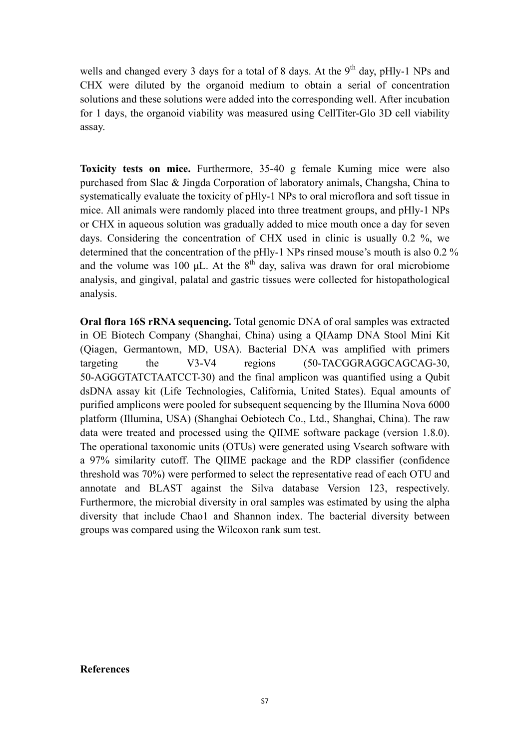wells and changed every 3 days for a total of 8 days. At the  $9<sup>th</sup>$  day, pHly-1 NPs and CHX were diluted by the organoid medium to obtain a serial of concentration solutions and these solutions were added into the corresponding well. After incubation for 1 days, the organoid viability was measured using CellTiter-Glo 3D cell viability assay.

**Toxicity tests on mice.** Furthermore, 35-40 g female Kuming mice were also purchased from Slac & Jingda Corporation of laboratory animals, Changsha, China to systematically evaluate the toxicity of pHly-1 NPs to oral microflora and soft tissue in mice. All animals were randomly placed into three treatment groups, and pHly-1 NPs or CHX in aqueous solution was gradually added to mice mouth once a day for seven days. Considering the concentration of CHX used in clinic is usually 0.2 %, we determined that the concentration of the pHly-1 NPs rinsed mouse's mouth is also 0.2 % and the volume was 100 μL. At the  $8<sup>th</sup>$  day, saliva was drawn for oral microbiome analysis, and gingival, palatal and gastric tissues were collected for histopathological analysis.

**Oral flora 16S rRNA sequencing.** Total genomic DNA of oral samples was extracted in OE Biotech Company (Shanghai, China) using a QIAamp DNA Stool Mini Kit (Qiagen, Germantown, MD, USA). Bacterial DNA was amplified with primers targeting the V3-V4 regions (50-TACGGRAGGCAGCAG-30, 50-AGGGTATCTAATCCT-30) and the final amplicon was quantified using a Qubit dsDNA assay kit (Life Technologies, California, United States). Equal amounts of purified amplicons were pooled for subsequent sequencing by the Illumina Nova 6000 platform (Illumina, USA) (Shanghai Oebiotech Co., Ltd., Shanghai, China). The raw data were treated and processed using the QIIME software package (version 1.8.0). The operational taxonomic units (OTUs) were generated using Vsearch software with a 97% similarity cutoff. The QIIME package and the RDP classifier (confidence threshold was 70%) were performed to select the representative read of each OTU and annotate and BLAST against the Silva database Version 123, respectively. Furthermore, the microbial diversity in oral samples was estimated by using the alpha diversity that include Chao1 and Shannon index. The bacterial diversity between groups was compared using the Wilcoxon rank sum test.

## **References**